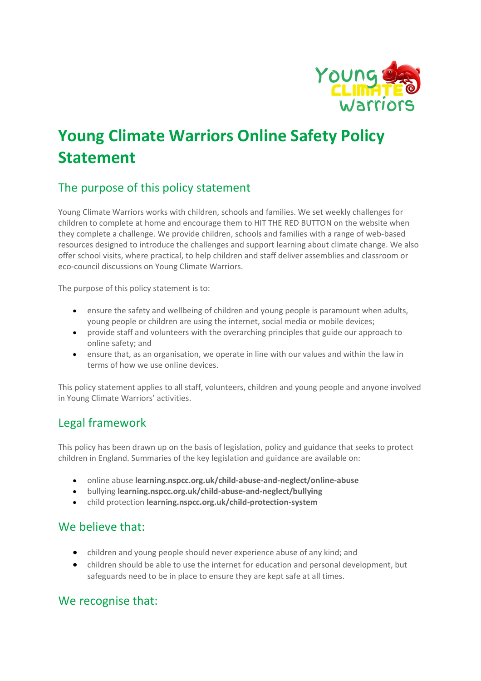

# **Young Climate Warriors Online Safety Policy Statement**

## The purpose of this policy statement

Young Climate Warriors works with children, schools and families. We set weekly challenges for children to complete at home and encourage them to HIT THE RED BUTTON on the website when they complete a challenge. We provide children, schools and families with a range of web-based resources designed to introduce the challenges and support learning about climate change. We also offer school visits, where practical, to help children and staff deliver assemblies and classroom or eco-council discussions on Young Climate Warriors.

The purpose of this policy statement is to:

- ensure the safety and wellbeing of children and young people is paramount when adults, young people or children are using the internet, social media or mobile devices;
- provide staff and volunteers with the overarching principles that guide our approach to online safety; and
- ensure that, as an organisation, we operate in line with our values and within the law in terms of how we use online devices.

This policy statement applies to all staff, volunteers, children and young people and anyone involved in Young Climate Warriors' activities.

## Legal framework

This policy has been drawn up on the basis of legislation, policy and guidance that seeks to protect children in England. Summaries of the key legislation and guidance are available on:

- online abuse **learning.nspcc.org.uk/child-abuse-and-neglect/online-abuse**
- bullying **learning.nspcc.org.uk/child-abuse-and-neglect/bullying**
- child protection **learning.nspcc.org.uk/child-protection-system**

#### We believe that:

- children and young people should never experience abuse of any kind; and
- children should be able to use the internet for education and personal development, but safeguards need to be in place to ensure they are kept safe at all times.

#### We recognise that: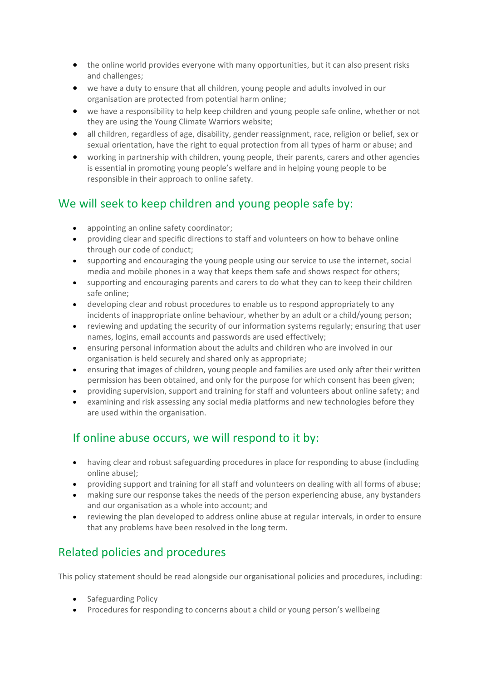- the online world provides everyone with many opportunities, but it can also present risks and challenges;
- we have a duty to ensure that all children, young people and adults involved in our organisation are protected from potential harm online;
- we have a responsibility to help keep children and young people safe online, whether or not they are using the Young Climate Warriors website;
- all children, regardless of age, disability, gender reassignment, race, religion or belief, sex or sexual orientation, have the right to equal protection from all types of harm or abuse; and
- working in partnership with children, young people, their parents, carers and other agencies is essential in promoting young people's welfare and in helping young people to be responsible in their approach to online safety.

#### We will seek to keep children and young people safe by:

- appointing an online safety coordinator;
- providing clear and specific directions to staff and volunteers on how to behave online through our code of conduct;
- supporting and encouraging the young people using our service to use the internet, social media and mobile phones in a way that keeps them safe and shows respect for others;
- supporting and encouraging parents and carers to do what they can to keep their children safe online;
- developing clear and robust procedures to enable us to respond appropriately to any incidents of inappropriate online behaviour, whether by an adult or a child/young person;
- reviewing and updating the security of our information systems regularly; ensuring that user names, logins, email accounts and passwords are used effectively;
- ensuring personal information about the adults and children who are involved in our organisation is held securely and shared only as appropriate;
- ensuring that images of children, young people and families are used only after their written permission has been obtained, and only for the purpose for which consent has been given;
- providing supervision, support and training for staff and volunteers about online safety; and
- examining and risk assessing any social media platforms and new technologies before they are used within the organisation.

## If online abuse occurs, we will respond to it by:

- having clear and robust safeguarding procedures in place for responding to abuse (including online abuse);
- providing support and training for all staff and volunteers on dealing with all forms of abuse;
- making sure our response takes the needs of the person experiencing abuse, any bystanders and our organisation as a whole into account; and
- reviewing the plan developed to address online abuse at regular intervals, in order to ensure that any problems have been resolved in the long term.

# Related policies and procedures

This policy statement should be read alongside our organisational policies and procedures, including:

- Safeguarding Policy
- Procedures for responding to concerns about a child or young person's wellbeing